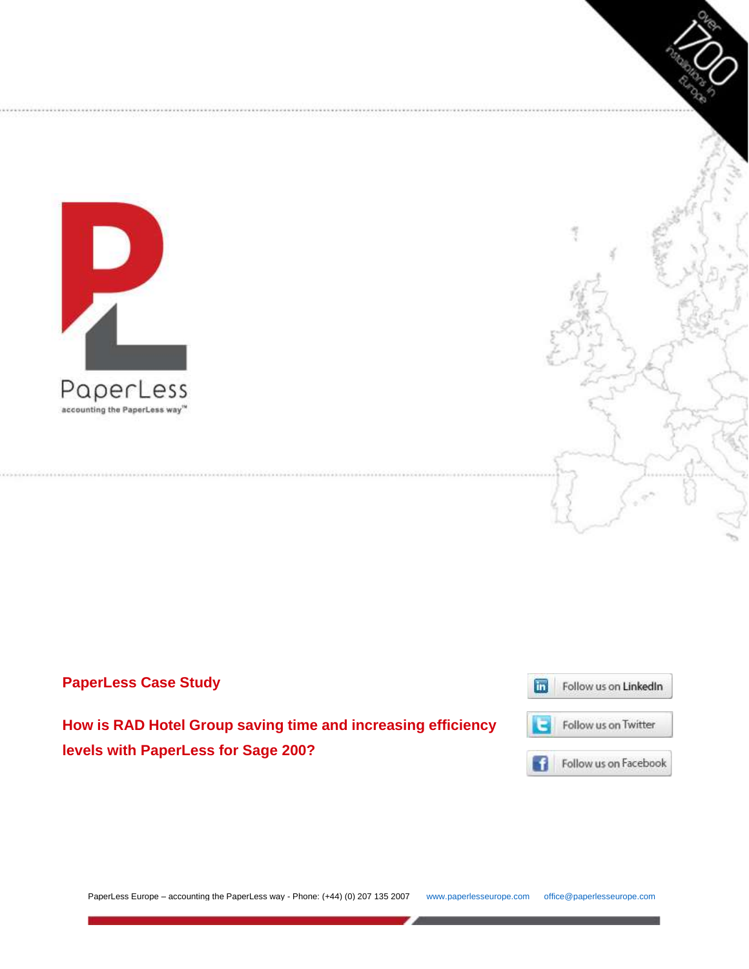



**How is RAD Hotel Group saving time and increasing efficiency levels with PaperLess for Sage 200?**





PaperLess Europe – accounting the PaperLess way - Phone: (+44) (0) 207 135 2007 [www.paperlesseurope.com](http://www.paperlesseurope.com/) [office@paperlesseurope.com](mailto:office@paperlesseurope.com)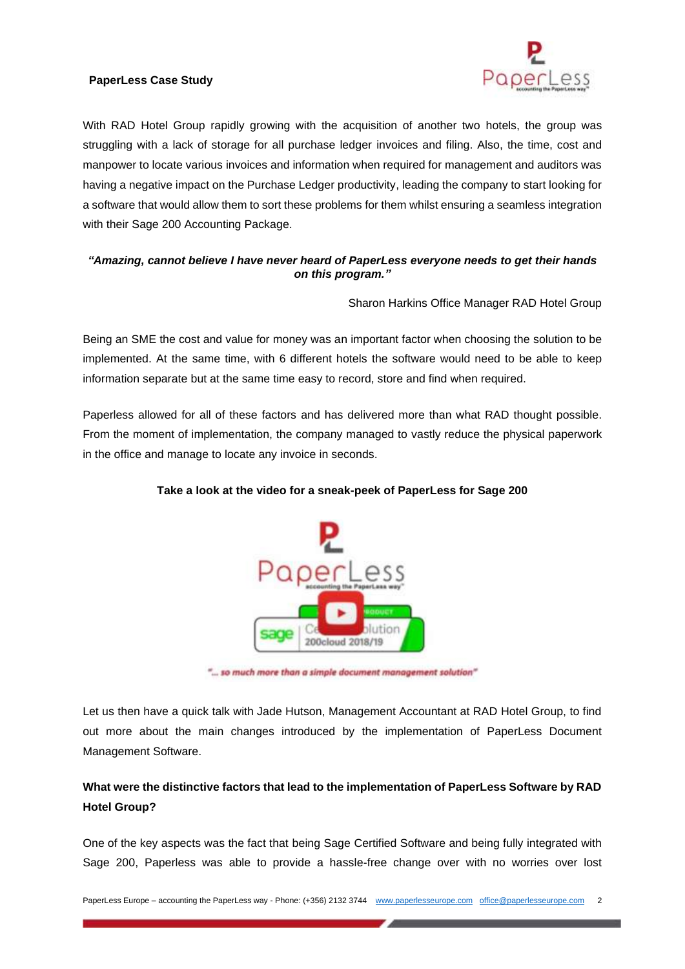

With RAD Hotel Group rapidly growing with the acquisition of another two hotels, the group was struggling with a lack of storage for all purchase ledger invoices and filing. Also, the time, cost and manpower to locate various invoices and information when required for management and auditors was having a negative impact on the Purchase Ledger productivity, leading the company to start looking for a software that would allow them to sort these problems for them whilst ensuring a seamless integration with their Sage 200 Accounting Package.

### *"Amazing, cannot believe I have never heard of PaperLess everyone needs to get their hands on this program."*

Sharon Harkins Office Manager RAD Hotel Group

Being an SME the cost and value for money was an important factor when choosing the solution to be implemented. At the same time, with 6 different hotels the software would need to be able to keep information separate but at the same time easy to record, store and find when required.

Paperless allowed for all of these factors and has delivered more than what RAD thought possible. From the moment of implementation, the company managed to vastly reduce the physical paperwork in the office and manage to locate any invoice in seconds.



### **Take a look at the video for a sneak-peek of PaperLess for Sage 200**

"... so much more than a simple document management solution"

Let us then have a quick talk with Jade Hutson, Management Accountant at RAD Hotel Group, to find out more about the main changes introduced by the implementation of PaperLess Document Management Software.

# **What were the distinctive factors that lead to the implementation of PaperLess Software by RAD Hotel Group?**

One of the key aspects was the fact that being Sage Certified Software and being fully integrated with Sage 200, Paperless was able to provide a hassle-free change over with no worries over lost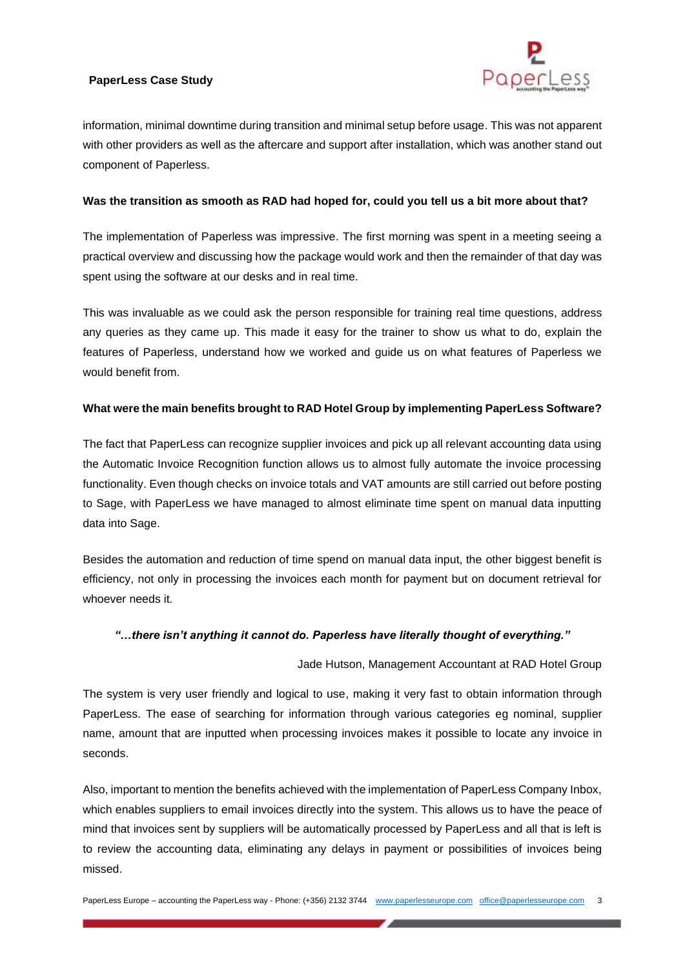

information, minimal downtime during transition and minimal setup before usage. This was not apparent with other providers as well as the aftercare and support after installation, which was another stand out component of Paperless.

#### **Was the transition as smooth as RAD had hoped for, could you tell us a bit more about that?**

The implementation of Paperless was impressive. The first morning was spent in a meeting seeing a practical overview and discussing how the package would work and then the remainder of that day was spent using the software at our desks and in real time.

This was invaluable as we could ask the person responsible for training real time questions, address any queries as they came up. This made it easy for the trainer to show us what to do, explain the features of Paperless, understand how we worked and guide us on what features of Paperless we would benefit from.

## **What were the main benefits brought to RAD Hotel Group by implementing PaperLess Software?**

The fact that PaperLess can recognize supplier invoices and pick up all relevant accounting data using the Automatic Invoice Recognition function allows us to almost fully automate the invoice processing functionality. Even though checks on invoice totals and VAT amounts are still carried out before posting to Sage, with PaperLess we have managed to almost eliminate time spent on manual data inputting data into Sage.

Besides the automation and reduction of time spend on manual data input, the other biggest benefit is efficiency, not only in processing the invoices each month for payment but on document retrieval for whoever needs it.

#### *"…there isn't anything it cannot do. Paperless have literally thought of everything."*

#### Jade Hutson, Management Accountant at RAD Hotel Group

The system is very user friendly and logical to use, making it very fast to obtain information through PaperLess. The ease of searching for information through various categories eg nominal, supplier name, amount that are inputted when processing invoices makes it possible to locate any invoice in seconds.

Also, important to mention the benefits achieved with the implementation of PaperLess Company Inbox, which enables suppliers to email invoices directly into the system. This allows us to have the peace of mind that invoices sent by suppliers will be automatically processed by PaperLess and all that is left is to review the accounting data, eliminating any delays in payment or possibilities of invoices being missed.